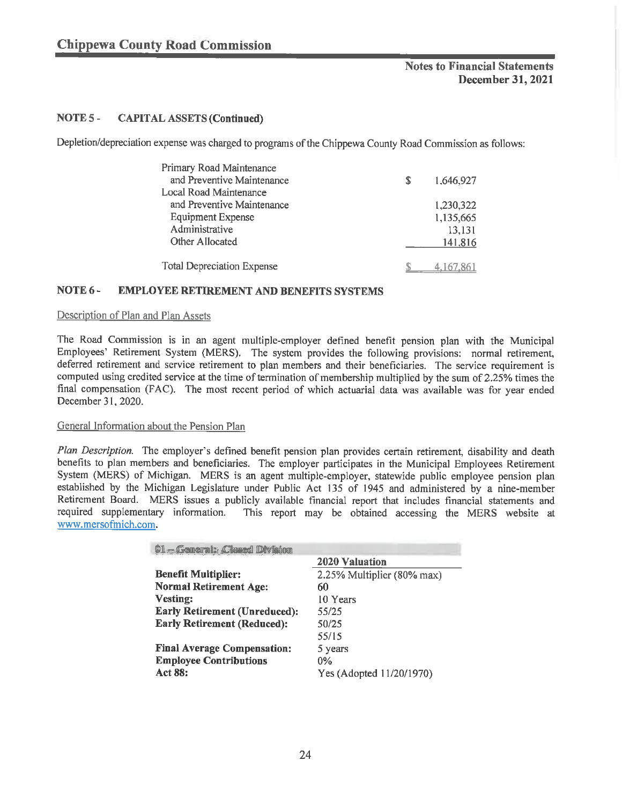# NOTES- CAPITAL ASSETS (Continued)

Depletion/depreciation expense was charged to programs of the Chippewa County Road Commission as follows:

| Primary Road Maintenance          |                 |
|-----------------------------------|-----------------|
| and Preventive Maintenance        | \$<br>1,646,927 |
| Local Road Maintenance            |                 |
| and Preventive Maintenance        | 1,230,322       |
| <b>Equipment Expense</b>          | 1,135,665       |
| Administrative                    | 13,131          |
| Other Allocated                   | 141,816         |
|                                   |                 |
| <b>Total Depreciation Expense</b> |                 |

## NOTE 6 - EMPLOYEE RETIREMENT AND BENEFITS SYSTEMS

#### Description of Plan and Plan Assets

The Road Commission is in an agent multiple-employer defined benefit pension plan with the Municipal Employees' Retirement System (MERS). The system provides the following provisions: normal retirement, deferred retirement and service retirement to plan members and their beneficiaries. The service requirement is computed using credited service at the time of termination of membership multiplied by the sum of 2.25% times the final compensation (FAC). The most recent period of which actuarial data was available was for year ended December 31, 2020.

## General Information about the Pension Plan

Plan Description. The employer's defined benefit pension plan provides certain retirement, disability and death benefits to plan members and beneficiaries. The employer participates in the Municipal Employees Retirement System (MERS) of Michigan. MERS is an agent multiple-employer, statewide public employee pension plan established by the Michigan Legislature under Public Act 135 of 1945 and administered by a nine-member Retirement Board. MERS issues a publicly available financial report that includes financial statements and required supplementary information. This report may be obtained accessing the MERS website at This report may be obtained accessing the MERS website at www. mersofmich. com.

| <b>O1-General: Closed Division</b>   |                            |
|--------------------------------------|----------------------------|
|                                      | <b>2020 Valuation</b>      |
| <b>Benefit Multiplier:</b>           | 2.25% Multiplier (80% max) |
| <b>Normal Retirement Age:</b>        | 60                         |
| <b>Vesting:</b>                      | 10 Years                   |
| <b>Early Retirement (Unreduced):</b> | 55/25                      |
| <b>Early Retirement (Reduced):</b>   | 50/25                      |
|                                      | 55/15                      |
| <b>Final Average Compensation:</b>   | 5 years                    |
| <b>Employee Contributions</b>        | $0\%$                      |
| Act 88:                              | Yes (Adopted 11/20/1970)   |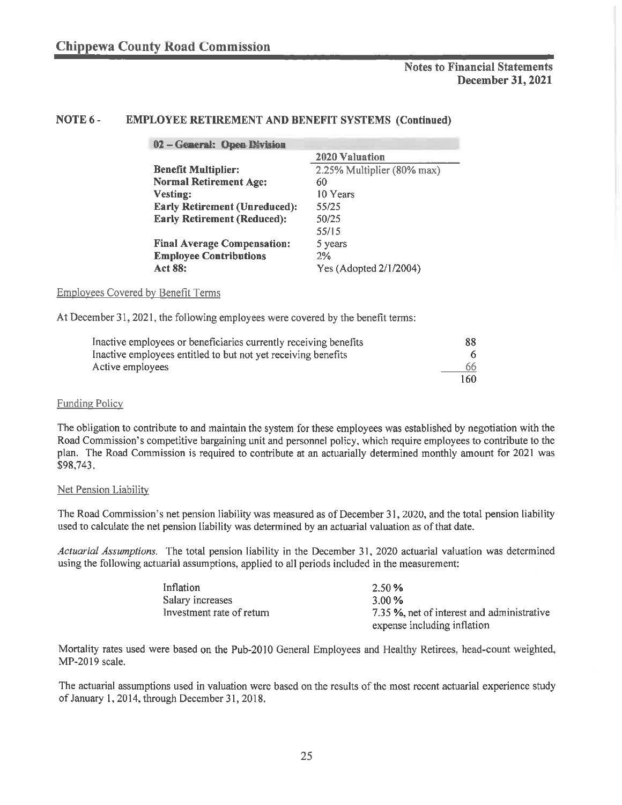## NOTE 6 - EMPLOYEE RETIREMENT AND BENEFIT SYSTEMS (Continued)

| 02 - General: Open Division          |                            |
|--------------------------------------|----------------------------|
|                                      | <b>2020 Valuation</b>      |
| <b>Benefit Multiplier:</b>           | 2.25% Multiplier (80% max) |
| <b>Normal Retirement Age:</b>        | 60                         |
| Vesting:                             | 10 Years                   |
| <b>Early Retirement (Unreduced):</b> | 55/25                      |
| <b>Early Retirement (Reduced):</b>   | 50/25                      |
|                                      | 55/15                      |
| <b>Final Average Compensation:</b>   | 5 years                    |
| <b>Employee Contributions</b>        | 2%                         |
| <b>Act 88:</b>                       | Yes (Adopted 2/1/2004)     |

Employees Covered by Benefit Terms

At December 31, 2021, the following employees were covered by the benefit terms:

| Inactive employees or beneficiaries currently receiving benefits | -88 |
|------------------------------------------------------------------|-----|
| Inactive employees entitled to but not yet receiving benefits    |     |
| Active employees                                                 | -66 |
|                                                                  | 160 |

### Funding Policy

The obligation to contribute to and maintain the system for these employees was established by negotiation with the Road Commission's competitive bargaining unit and personnel policy, which require employees to contribute to the plan. The Road Commission is required to contribute at an actuarially determined monthly amount for 2021 was \$98,743.

#### Net Pension Liability

The Road Commission's net pension liability was measured as of December 31, 2020, and the total pension liability used to calculate the net pension liability was determined by an actuarial valuation as of that date.

Actuarial Assumptions. The total pension liability in the December 31, 2020 actuarial valuation was determined using the following actuarial assumptions, applied to all periods included in the measurement:

| Inflation                 | 2.50 %                                     |
|---------------------------|--------------------------------------------|
| Salary increases          | 3.00 %                                     |
| Investment rate of return | 7.35 %, net of interest and administrative |
|                           | expense including inflation                |

Mortality rates used were based on the Pub-2010 General Employees and Healthy Retirees, head-count weighted, MP-2019 scale.

The actuarial assumptions used in valuation were based on the results of the most recent actuarial experience study of January 1, 2014, through December 31, 2018.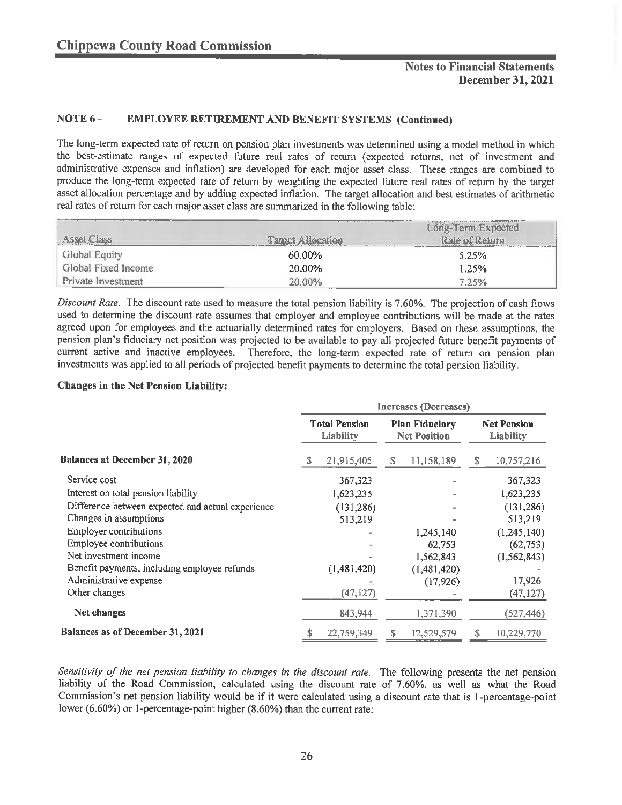## NOTE 6 - EMPLOYEE RETIREMENT AND BENEFIT SYSTEMS (Continued)

The long-term expected rate of return on pension plan investments was determined using a model method in which the best-estimate ranges of expected future real rates of return (expected returns, net of investment and administrative expenses and inflation) are developed for each major asset class. These ranges are combined to produce the long-term expected rate of return by weighting the expected future real rates of return by the target asset allocation percentage and by adding expected inflation. The target allocation and best estimates of arithmetic real rates of return for each major asset class are summarized in the following table:

|                           |                          | Long-Term Expected |
|---------------------------|--------------------------|--------------------|
| Asset Class               | <b>Target Allocation</b> | Rate of Return     |
| Global Equity             | 60.00%                   | 5.25%              |
| Global Fixed Income       | 20.00%                   | 1,25%              |
| <b>Private Investment</b> | 20.00%                   | 7.25%              |

Discount Rate. The discount rate used to measure the total pension liability is 7.60%. The projection of cash flows used to determine the discount rate assumes that employer and employee contributions will be made at the rates agreed upon for employees and the actuarially determined rates for employers. Based on these assumptions, the pension plan's fiduciary net position was projected to be available to pay all projected future benefit payments of current active and inactive employees. Therefore, the long-term expected rate of return on pension plan investments was applied to all periods of projected benefit payments to determine the total pension liability.

#### Changes in the Net Pension Liability:

|                                                   | Increases (Decreases) |                                          |   |                                              |    |                                 |
|---------------------------------------------------|-----------------------|------------------------------------------|---|----------------------------------------------|----|---------------------------------|
|                                                   |                       | <b>Total Pension</b><br><b>Liability</b> |   | <b>Plan Fiduciary</b><br><b>Net Position</b> |    | <b>Net Pension</b><br>Liability |
| <b>Balances at December 31, 2020</b>              | -S                    | 21,915,405                               | s | 11,158,189                                   | S. | 10,757,216                      |
| Service cost                                      |                       | 367,323                                  |   |                                              |    | 367,323                         |
| Interest on total pension liability               |                       | 1,623,235                                |   |                                              |    | 1,623,235                       |
| Difference between expected and actual experience |                       | (131, 286)                               |   |                                              |    | (131, 286)                      |
| Changes in assumptions                            |                       | 513,219                                  |   |                                              |    | 513,219                         |
| <b>Employer contributions</b>                     |                       |                                          |   | 1,245,140                                    |    | (1,245,140)                     |
| <b>Employee contributions</b>                     |                       |                                          |   | 62,753                                       |    | (62, 753)                       |
| Net investment income                             |                       |                                          |   | 1,562,843                                    |    | (1, 562, 843)                   |
| Benefit payments, including employee refunds      |                       | (1,481,420)                              |   | (1,481,420)                                  |    |                                 |
| Administrative expense                            |                       |                                          |   | (17, 926)                                    |    | 17,926                          |
| Other changes                                     |                       | (47, 127)                                |   |                                              |    | (47, 127)                       |
| Net changes                                       |                       | 843,944                                  |   | 1,371,390                                    |    | (527, 446)                      |
| Balances as of December 31, 2021                  |                       | 22,759,349                               | S | 12,529,579                                   | S  | 10,229,770                      |

Sensitivity of the net pension liability to changes in the discount rate. The following presents the net pension liability of the Road Commission, calculated using the discount rate of 7.60%, as well as what the Road Commission's net pension liability would be if it were calculated using a discount rate that is 1-percentage-point lower (6.60%) or 1-percentage-point higher (8.60%) than the current rate: